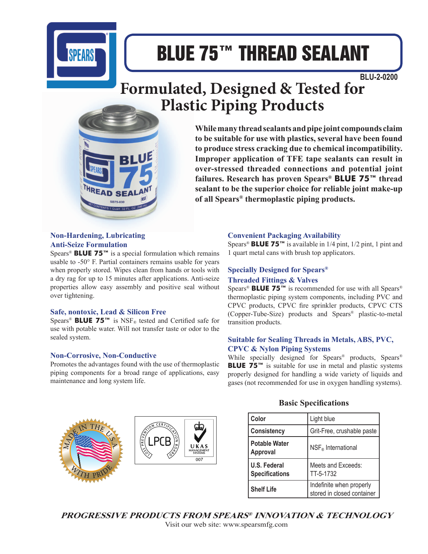

# BLUE 75™ THREAD SEALANT

 **BLU-2-0200**

# **Formulated, Designed & Tested for Plastic Piping Products**



**While many thread sealants and pipe joint compounds claim to be suitable for use with plastics, several have been found to produce stress cracking due to chemical incompatibility. Improper application of TFE tape sealants can result in over-stressed threaded connections and potential joint failures. Research has proven Spears® BLUE 75™ thread sealant to be the superior choice for reliable joint make-up of all Spears® thermoplastic piping products.**

#### **Non-Hardening, Lubricating Anti-Seize Formulation**

Spears® **BLUE 75™** is a special formulation which remains usable to -50° F. Partial containers remains usable for years when properly stored. Wipes clean from hands or tools with a dry rag for up to 15 minutes after applications. Anti-seize properties allow easy assembly and positive seal without over tightening.

#### **Safe, nontoxic, Lead & Silicon Free**

Spears<sup>®</sup> **BLUE 75™** is NSF<sub>®</sub> tested and Certified safe for use with potable water. Will not transfer taste or odor to the sealed system.

#### **Non-Corrosive, Non-Conductive**

Promotes the advantages found with the use of thermoplastic piping components for a broad range of applications, easy maintenance and long system life.



#### **Convenient Packaging Availability**

Spears® **BLUE 75™** is available in 1/4 pint, 1/2 pint, 1 pint and 1 quart metal cans with brush top applicators.

#### **Specially Designed for Spears® Threaded Fittings & Valves**

Spears® **BLUE 75™** is recommended for use with all Spears® thermoplastic piping system components, including PVC and CPVC products, CPVC fire sprinkler products, CPVC CTS (Copper-Tube-Size) products and Spears® plastic-to-metal transition products.

#### **Suitable for Sealing Threads in Metals, ABS, PVC, CPVC & Nylon Piping Systems**

While specially designed for Spears® products, Spears® **BLUE 75<sup>™</sup>** is suitable for use in metal and plastic systems properly designed for handling a wide variety of liquids and gases (not recommended for use in oxygen handling systems).

#### **Basic Specifications**

| Color                                 | Light blue                                             |
|---------------------------------------|--------------------------------------------------------|
| <b>Consistency</b>                    | Grit-Free, crushable paste                             |
| <b>Potable Water</b><br>Approval      | NSF <sub>®</sub> International                         |
| U.S. Federal<br><b>Specifications</b> | Meets and Exceeds:<br>TT-5-1732                        |
| <b>Shelf Life</b>                     | Indefinite when properly<br>stored in closed container |

**PROGRESSIVE PRODUCTS FROM SPEARS® INNOVATION & TECHNOLOGY**

Visit our web site: www.spearsmfg.com